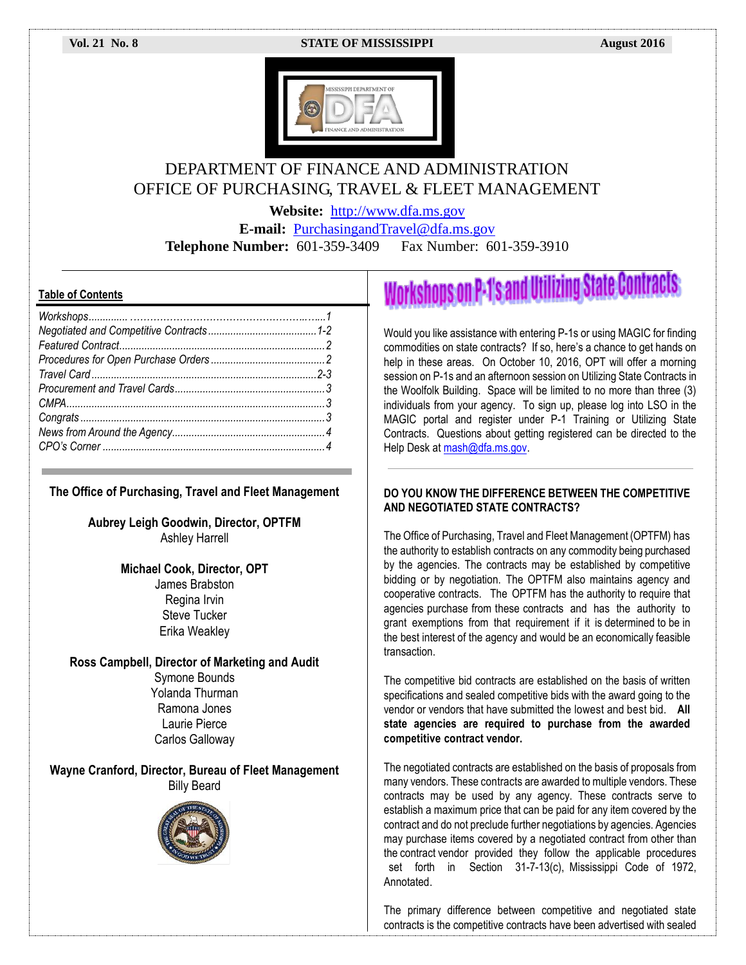

# DEPARTMENT OF FINANCE AND ADMINISTRATION OFFICE OF PURCHASING, TRAVEL & FLEET MANAGEMENT

**Website:** [http://www.dfa.ms.gov](http://www.dfa.ms.gov/)

**E-mail:** [PurchasingandTravel@dfa.ms.gov](mailto:PurchasingandTravel@dfa.ms.gov) **Telephone Number:** 601-359-3409 Fax Number: 601-359-3910

# **Table of Contents**

### **The Office of Purchasing, Travel and Fleet Management**

**Aubrey Leigh Goodwin, Director, OPTFM** Ashley Harrell

> **Michael Cook, Director, OPT** James Brabston Regina Irvin Steve Tucker Erika Weakley

**Ross Campbell, Director of Marketing and Audit** Symone Bounds Yolanda Thurman Ramona Jones Laurie Pierce Carlos Galloway

**Wayne Cranford, Director, Bureau of Fleet Management** Billy Beard



# **Workshops on P-1's and Utilizing State Contracts**

Would you like assistance with entering P-1s or using MAGIC for finding commodities on state contracts? If so, here's a chance to get hands on help in these areas. On October 10, 2016, OPT will offer a morning session on P-1s and an afternoon session on Utilizing State Contracts in the Woolfolk Building. Space will be limited to no more than three (3) individuals from your agency. To sign up, please log into LSO in the MAGIC portal and register under P-1 Training or Utilizing State Contracts. Questions about getting registered can be directed to the Help Desk at mash@dfa.ms.gov.

# **DO YOU KNOW THE DIFFERENCE BETWEEN THE COMPETITIVE AND NEGOTIATED STATE CONTRACTS?**

The Office of Purchasing, Travel and Fleet Management (OPTFM) has the authority to establish contracts on any commodity being purchased by the agencies. The contracts may be established by competitive bidding or by negotiation. The OPTFM also maintains agency and cooperative contracts. The OPTFM has the authority to require that agencies purchase from these contracts and has the authority to grant exemptions from that requirement if it is determined to be in the best interest of the agency and would be an economically feasible transaction.

The competitive bid contracts are established on the basis of written specifications and sealed competitive bids with the award going to the vendor or vendors that have submitted the lowest and best bid. **All state agencies are required to purchase from the awarded competitive contract vendor.**

The negotiated contracts are established on the basis of proposals from many vendors. These contracts are awarded to multiple vendors. These contracts may be used by any agency. These contracts serve to establish a maximum price that can be paid for any item covered by the contract and do not preclude further negotiations by agencies. Agencies may purchase items covered by a negotiated contract from other than the contract vendor provided they follow the applicable procedures set forth in Section 31-7-13(c), Mississippi Code of 1972, Annotated.

The primary difference between competitive and negotiated state contracts is the competitive contracts have been advertised with sealed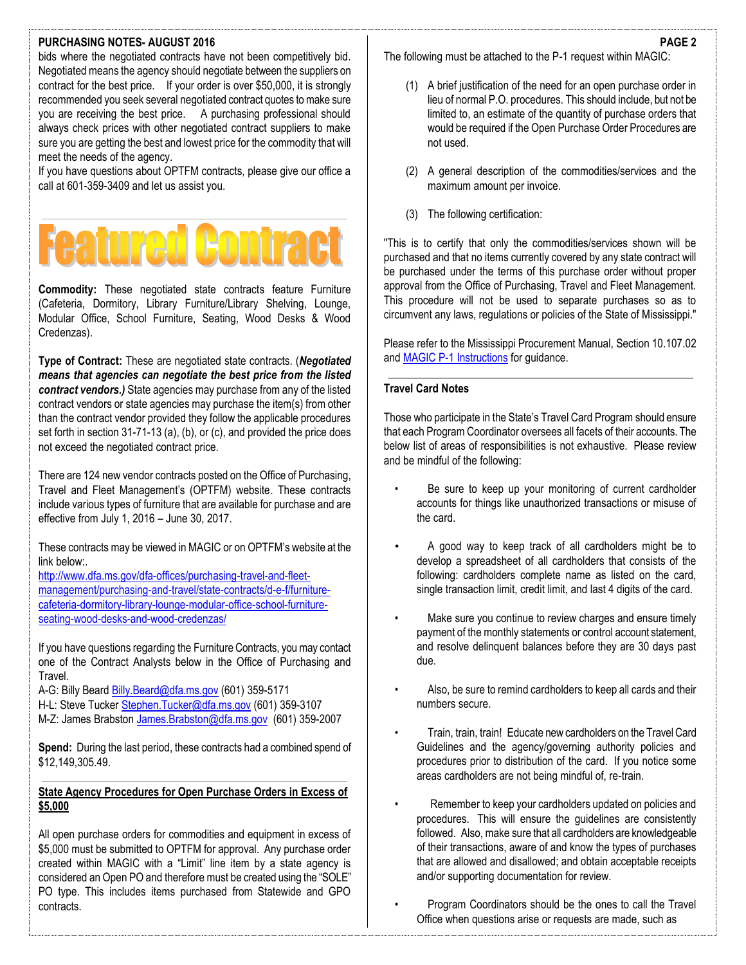# **PURCHASING NOTES- AUGUST 2016**

bids where the negotiated contracts have not been competitively bid. Negotiated means the agency should negotiate between the suppliers on contract for the best price. If your order is over \$50,000, it is strongly recommended you seek several negotiated contract quotes to make sure you are receiving the best price. A purchasing professional should always check prices with other negotiated contract suppliers to make sure you are getting the best and lowest price for the commodity that will meet the needs of the agency.

If you have questions about OPTFM contracts, please give our office a call at 601-359-3409 and let us assist you.

TIFAT

**Commodity:** These negotiated state contracts feature Furniture (Cafeteria, Dormitory, Library Furniture/Library Shelving, Lounge, Modular Office, School Furniture, Seating, Wood Desks & Wood Credenzas).

**Type of Contract:** These are negotiated state contracts. (*Negotiated means that agencies can negotiate the best price from the listed contract vendors.)* State agencies may purchase from any of the listed contract vendors or state agencies may purchase the item(s) from other than the contract vendor provided they follow the applicable procedures set forth in section 31-71-13 (a), (b), or (c), and provided the price does not exceed the negotiated contract price.

There are 124 new vendor contracts posted on the Office of Purchasing, Travel and Fleet Management's (OPTFM) website. These contracts include various types of furniture that are available for purchase and are effective from July 1, 2016 – June 30, 2017.

These contracts may be viewed in MAGIC or on OPTFM's website at the link below:.

[http://www.dfa.ms.gov/dfa-offices/purchasing-travel-and-fleet](http://www.dfa.ms.gov/dfa-offices/purchasing-travel-and-fleet-management/purchasing-and-travel/state-contracts/d-e-f/furniture-cafeteria-dormitory-library-lounge-modular-office-school-furniture-seating-wood-desks-and-wood-credenzas/)[management/purchasing-and-travel/state-contracts/d-e-f/furniture](http://www.dfa.ms.gov/dfa-offices/purchasing-travel-and-fleet-management/purchasing-and-travel/state-contracts/d-e-f/furniture-cafeteria-dormitory-library-lounge-modular-office-school-furniture-seating-wood-desks-and-wood-credenzas/)[cafeteria-dormitory-library-lounge-modular-office-school-furniture](http://www.dfa.ms.gov/dfa-offices/purchasing-travel-and-fleet-management/purchasing-and-travel/state-contracts/d-e-f/furniture-cafeteria-dormitory-library-lounge-modular-office-school-furniture-seating-wood-desks-and-wood-credenzas/)[seating-wood-desks-and-wood-credenzas/](http://www.dfa.ms.gov/dfa-offices/purchasing-travel-and-fleet-management/purchasing-and-travel/state-contracts/d-e-f/furniture-cafeteria-dormitory-library-lounge-modular-office-school-furniture-seating-wood-desks-and-wood-credenzas/)

If you have questions regarding the Furniture Contracts, you may contact one of the Contract Analysts below in the Office of Purchasing and Travel.

A-G: Billy Beard [Billy.Beard@dfa.ms.gov](mailto:Billy.Beard@dfa.ms.gov) (601) 359-5171

H-L: Steve Tucker [Stephen.Tucker@dfa.ms.gov](mailto:Stephen.Tucker@dfa.ms.gov) (601) 359-3107 M-Z: James Brabston [James.Brabston@dfa.ms.gov](mailto:James.Brabston@dfa.ms.gov) (601) 359-2007

**Spend:** During the last period, these contracts had a combined spend of \$12,149,305.49.

# **State Agency Procedures for Open Purchase Orders in Excess of \$5,000**

All open purchase orders for commodities and equipment in excess of \$5,000 must be submitted to OPTFM for approval. Any purchase order created within MAGIC with a "Limit" line item by a state agency is considered an Open PO and therefore must be created using the "SOLE" PO type. This includes items purchased from Statewide and GPO contracts.

The following must be attached to the P-1 request within MAGIC:

- (1) A brief justification of the need for an open purchase order in lieu of normal P.O. procedures. This should include, but not be limited to, an estimate of the quantity of purchase orders that would be required if the Open Purchase Order Procedures are not used.
- (2) A general description of the commodities/services and the maximum amount per invoice.
- (3) The following certification:

"This is to certify that only the commodities/services shown will be purchased and that no items currently covered by any state contract will be purchased under the terms of this purchase order without proper approval from the Office of Purchasing, Travel and Fleet Management. This procedure will not be used to separate purchases so as to circumvent any laws, regulations or policies of the State of Mississippi."

Please refer to the Mississippi Procurement Manual, Section 10.107.02 and [MAGIC P-1 Instructions](http://www.dfa.ms.gov/media/3787/magic-p1-work-instructions-4_18_2016.pdf) for guidance.

# **Travel Card Notes**

Those who participate in the State's Travel Card Program should ensure that each Program Coordinator oversees all facets of their accounts. The below list of areas of responsibilities is not exhaustive. Please review and be mindful of the following:

- Be sure to keep up your monitoring of current cardholder accounts for things like unauthorized transactions or misuse of the card.
- A good way to keep track of all cardholders might be to develop a spreadsheet of all cardholders that consists of the following: cardholders complete name as listed on the card, single transaction limit, credit limit, and last 4 digits of the card.
- Make sure you continue to review charges and ensure timely payment of the monthly statements or control account statement, and resolve delinquent balances before they are 30 days past due.
- Also, be sure to remind cardholders to keep all cards and their numbers secure.
- Train, train, train! Educate new cardholders on the Travel Card Guidelines and the agency/governing authority policies and procedures prior to distribution of the card. If you notice some areas cardholders are not being mindful of, re-train.
- Remember to keep your cardholders updated on policies and procedures. This will ensure the guidelines are consistently followed. Also, make sure that all cardholders are knowledgeable of their transactions, aware of and know the types of purchases that are allowed and disallowed; and obtain acceptable receipts and/or supporting documentation for review.
- Program Coordinators should be the ones to call the Travel Office when questions arise or requests are made, such as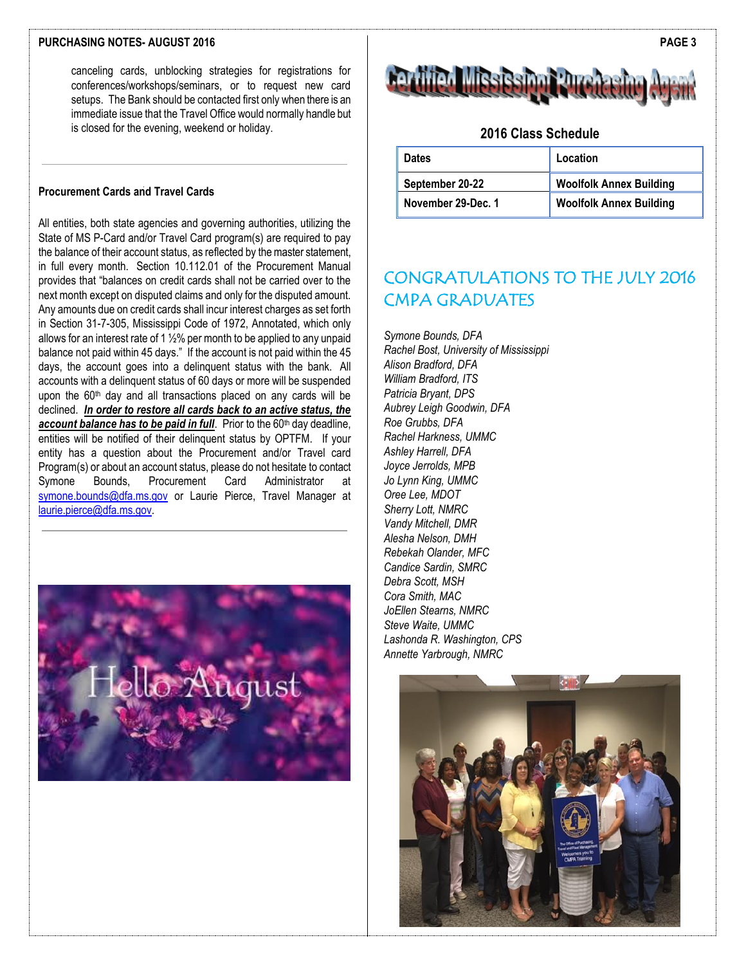### **PURCHASING NOTES- AUGUST 2016**

canceling cards, unblocking strategies for registrations for conferences/workshops/seminars, or to request new card setups. The Bank should be contacted first only when there is an immediate issue that the Travel Office would normally handle but is closed for the evening, weekend or holiday.

# **Procurement Cards and Travel Cards**

All entities, both state agencies and governing authorities, utilizing the State of MS P-Card and/or Travel Card program(s) are required to pay the balance of their account status, as reflected by the master statement, in full every month. Section 10.112.01 of the Procurement Manual provides that "balances on credit cards shall not be carried over to the next month except on disputed claims and only for the disputed amount. Any amounts due on credit cards shall incur interest charges as set forth in Section 31-7-305, Mississippi Code of 1972, Annotated, which only allows for an interest rate of 1 ½% per month to be applied to any unpaid balance not paid within 45 days." If the account is not paid within the 45 days, the account goes into a delinquent status with the bank. All accounts with a delinquent status of 60 days or more will be suspended upon the  $60<sup>th</sup>$  day and all transactions placed on any cards will be declined. *In order to restore all cards back to an active status, the*  account balance has to be paid in full. Prior to the 60<sup>th</sup> day deadline, entities will be notified of their delinquent status by OPTFM. If your entity has a question about the Procurement and/or Travel card Program(s) or about an account status, please do not hesitate to contact Symone Bounds, Procurement Card Administrator at [symone.bounds@dfa.ms.gov](mailto:symone.bounds@dfa.ms.gov) or Laurie Pierce, Travel Manager at [laurie.pierce@dfa.ms.gov.](mailto:laurie.pierce@dfa.ms.gov)





## **2016 Class Schedule**

| <b>Dates</b>       | Location                       |
|--------------------|--------------------------------|
| September 20-22    | <b>Woolfolk Annex Building</b> |
| November 29-Dec. 1 | <b>Woolfolk Annex Building</b> |

# CONGRATULATIONS TO THE JULY 2016 CMPA GRADUATES

*Symone Bounds, DFA Rachel Bost, University of Mississippi Alison Bradford, DFA William Bradford, ITS Patricia Bryant, DPS Aubrey Leigh Goodwin, DFA Roe Grubbs, DFA Rachel Harkness, UMMC Ashley Harrell, DFA Joyce Jerrolds, MPB Jo Lynn King, UMMC Oree Lee, MDOT Sherry Lott, NMRC Vandy Mitchell, DMR Alesha Nelson, DMH Rebekah Olander, MFC Candice Sardin, SMRC Debra Scott, MSH Cora Smith, MAC JoEllen Stearns, NMRC Steve Waite, UMMC Lashonda R. Washington, CPS Annette Yarbrough, NMRC*